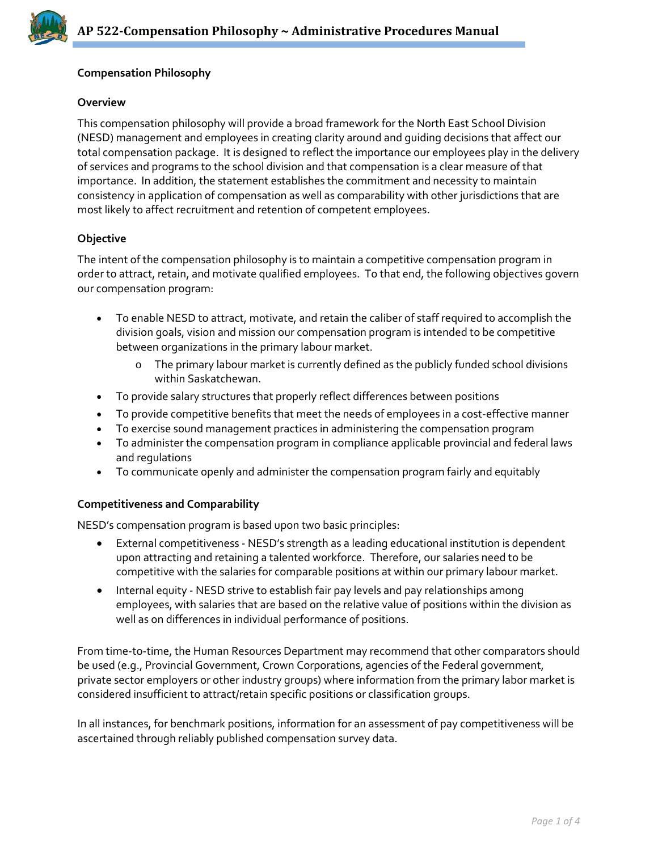

## **Compensation Philosophy**

#### **Overview**

This compensation philosophy will provide a broad framework for the North East School Division (NESD) management and employees in creating clarity around and guiding decisions that affect our total compensation package. It is designed to reflect the importance our employees play in the delivery of services and programs to the school division and that compensation is a clear measure of that importance. In addition, the statement establishes the commitment and necessity to maintain consistency in application of compensation as well as comparability with other jurisdictions that are most likely to affect recruitment and retention of competent employees.

### **Objective**

The intent of the compensation philosophy is to maintain a competitive compensation program in order to attract, retain, and motivate qualified employees. To that end, the following objectives govern our compensation program:

- To enable NESD to attract, motivate, and retain the caliber of staff required to accomplish the division goals, vision and mission our compensation program is intended to be competitive between organizations in the primary labour market.
	- o The primary labour market is currently defined as the publicly funded school divisions within Saskatchewan.
- To provide salary structures that properly reflect differences between positions
- To provide competitive benefits that meet the needs of employees in a cost-effective manner
- To exercise sound management practices in administering the compensation program
- To administer the compensation program in compliance applicable provincial and federal laws and regulations
- To communicate openly and administer the compensation program fairly and equitably

### **Competitiveness and Comparability**

NESD's compensation program is based upon two basic principles:

- External competitiveness NESD's strength as a leading educational institution is dependent upon attracting and retaining a talented workforce. Therefore, our salaries need to be competitive with the salaries for comparable positions at within our primary labour market.
- Internal equity NESD strive to establish fair pay levels and pay relationships among employees, with salaries that are based on the relative value of positions within the division as well as on differences in individual performance of positions.

From time-to-time, the Human Resources Department may recommend that other comparators should be used (e.g., Provincial Government, Crown Corporations, agencies of the Federal government, private sector employers or other industry groups) where information from the primary labor market is considered insufficient to attract/retain specific positions or classification groups.

In all instances, for benchmark positions, information for an assessment of pay competitiveness will be ascertained through reliably published compensation survey data.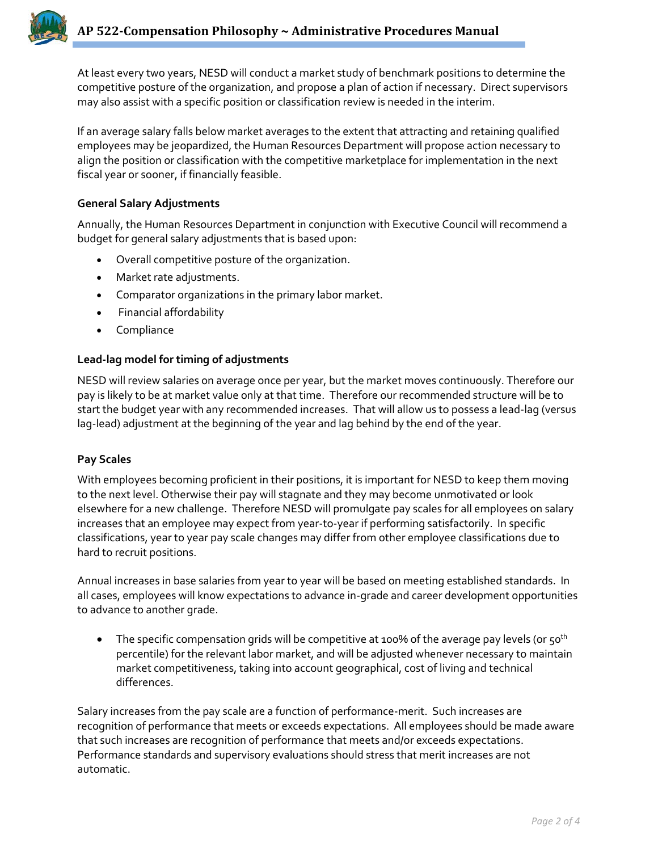At least every two years, NESD will conduct a market study of benchmark positions to determine the competitive posture of the organization, and propose a plan of action if necessary. Direct supervisors may also assist with a specific position or classification review is needed in the interim.

If an average salary falls below market averages to the extent that attracting and retaining qualified employees may be jeopardized, the Human Resources Department will propose action necessary to align the position or classification with the competitive marketplace for implementation in the next fiscal year or sooner, if financially feasible.

# **General Salary Adjustments**

Annually, the Human Resources Department in conjunction with Executive Council will recommend a budget for general salary adjustments that is based upon:

- Overall competitive posture of the organization.
- Market rate adjustments.
- Comparator organizations in the primary labor market.
- Financial affordability
- Compliance

# **Lead-lag model for timing of adjustments**

NESD will review salaries on average once per year, but the market moves continuously. Therefore our pay is likely to be at market value only at that time. Therefore our recommended structure will be to start the budget year with any recommended increases. That will allow us to possess a lead-lag (versus lag-lead) adjustment at the beginning of the year and lag behind by the end of the year.

# **Pay Scales**

With employees becoming proficient in their positions, it is important for NESD to keep them moving to the next level. Otherwise their pay will stagnate and they may become unmotivated or look elsewhere for a new challenge. Therefore NESD will promulgate pay scales for all employees on salary increases that an employee may expect from year-to-year if performing satisfactorily. In specific classifications, year to year pay scale changes may differ from other employee classifications due to hard to recruit positions.

Annual increases in base salaries from year to year will be based on meeting established standards. In all cases, employees will know expectations to advance in-grade and career development opportunities to advance to another grade.

The specific compensation grids will be competitive at 100% of the average pay levels (or 50<sup>th</sup> percentile) for the relevant labor market, and will be adjusted whenever necessary to maintain market competitiveness, taking into account geographical, cost of living and technical differences.

Salary increases from the pay scale are a function of performance-merit. Such increases are recognition of performance that meets or exceeds expectations. All employees should be made aware that such increases are recognition of performance that meets and/or exceeds expectations. Performance standards and supervisory evaluations should stress that merit increases are not automatic.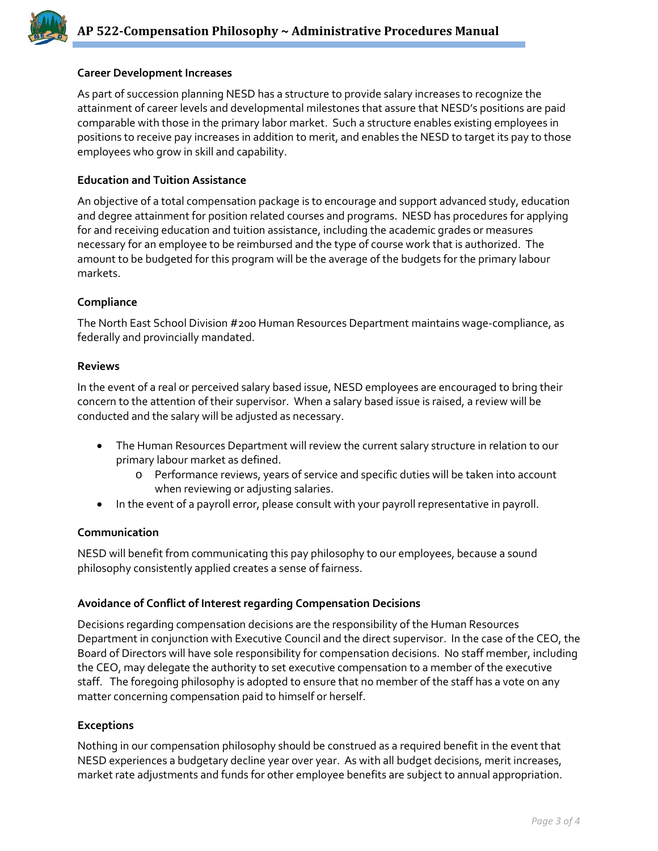

## **Career Development Increases**

As part of succession planning NESD has a structure to provide salary increases to recognize the attainment of career levels and developmental milestones that assure that NESD's positions are paid comparable with those in the primary labor market. Such a structure enables existing employees in positions to receive pay increases in addition to merit, and enables the NESD to target its pay to those employees who grow in skill and capability.

### **Education and Tuition Assistance**

An objective of a total compensation package is to encourage and support advanced study, education and degree attainment for position related courses and programs. NESD has procedures for applying for and receiving education and tuition assistance, including the academic grades or measures necessary for an employee to be reimbursed and the type of course work that is authorized. The amount to be budgeted for this program will be the average of the budgets for the primary labour markets.

### **Compliance**

The North East School Division #200 Human Resources Department maintains wage-compliance, as federally and provincially mandated.

#### **Reviews**

In the event of a real or perceived salary based issue, NESD employees are encouraged to bring their concern to the attention of their supervisor. When a salary based issue is raised, a review will be conducted and the salary will be adjusted as necessary.

- The Human Resources Department will review the current salary structure in relation to our primary labour market as defined.
	- o Performance reviews, years of service and specific duties will be taken into account when reviewing or adjusting salaries.
- In the event of a payroll error, please consult with your payroll representative in payroll.

### **Communication**

NESD will benefit from communicating this pay philosophy to our employees, because a sound philosophy consistently applied creates a sense of fairness.

### **Avoidance of Conflict of Interest regarding Compensation Decisions**

Decisions regarding compensation decisions are the responsibility of the Human Resources Department in conjunction with Executive Council and the direct supervisor. In the case of the CEO, the Board of Directors will have sole responsibility for compensation decisions. No staff member, including the CEO, may delegate the authority to set executive compensation to a member of the executive staff. The foregoing philosophy is adopted to ensure that no member of the staff has a vote on any matter concerning compensation paid to himself or herself.

### **Exceptions**

Nothing in our compensation philosophy should be construed as a required benefit in the event that NESD experiences a budgetary decline year over year. As with all budget decisions, merit increases, market rate adjustments and funds for other employee benefits are subject to annual appropriation.